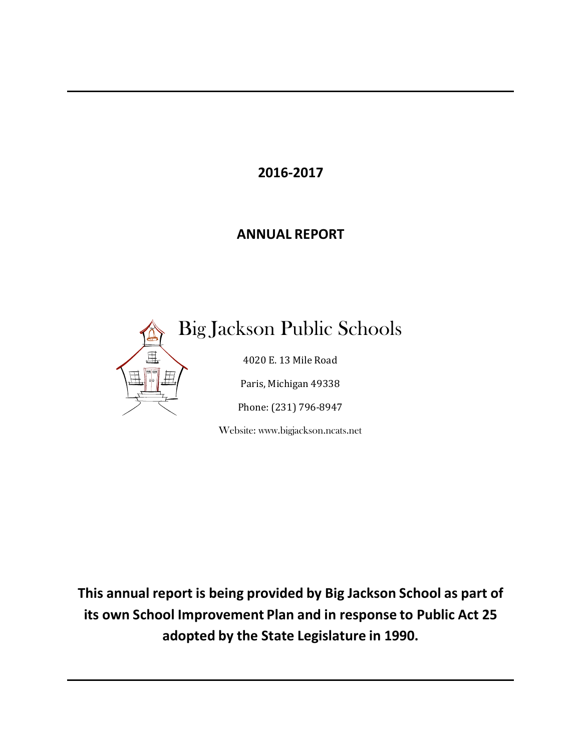**2016-2017**

# **ANNUAL REPORT**



Big Jackson Public Schools

4020 E. 13 Mile Road

Paris, Michigan 49338

Phone: (231) 796-8947

Website: www.bigjackson.ncats.net

**This annual report is being provided by Big Jackson School as part of its own School Improvement Plan and in response to Public Act 25 adopted by the State Legislature in 1990.**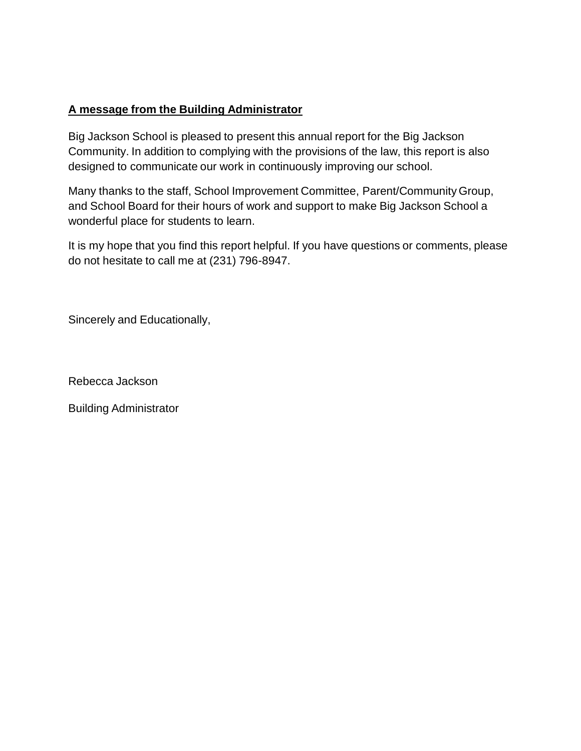### **A message from the Building Administrator**

Big Jackson School is pleased to present this annual report for the Big Jackson Community. In addition to complying with the provisions of the law, this report is also designed to communicate our work in continuously improving our school.

Many thanks to the staff, School Improvement Committee, Parent/Community Group, and School Board for their hours of work and support to make Big Jackson School a wonderful place for students to learn.

It is my hope that you find this report helpful. If you have questions or comments, please do not hesitate to call me at (231) 796-8947.

Sincerely and Educationally,

Rebecca Jackson

Building Administrator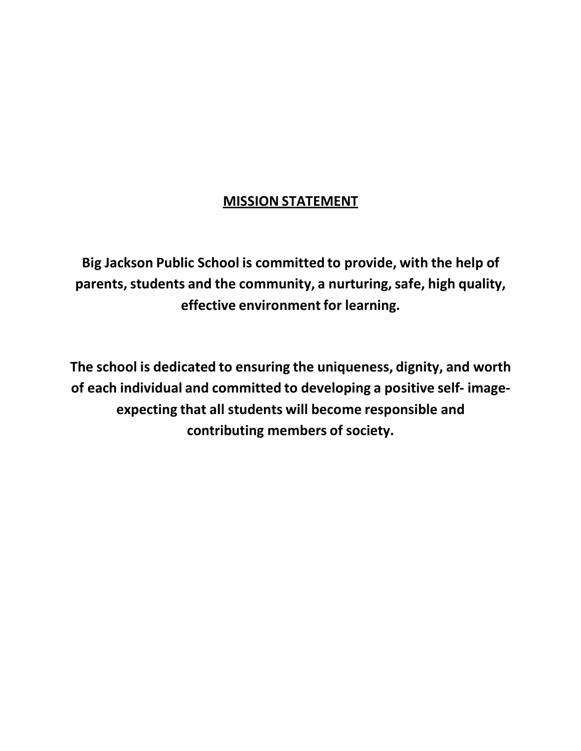# **MISSION STATEMENT**

**Big Jackson Public School is committed to provide, with the help of parents,students and the community, a nurturing,safe, high quality, effective environment for learning.**

**The school is dedicated to ensuring the uniqueness, dignity, and worth of each individual and committed to developing a positive self- imageexpecting that all students will become responsible and contributing members of society.**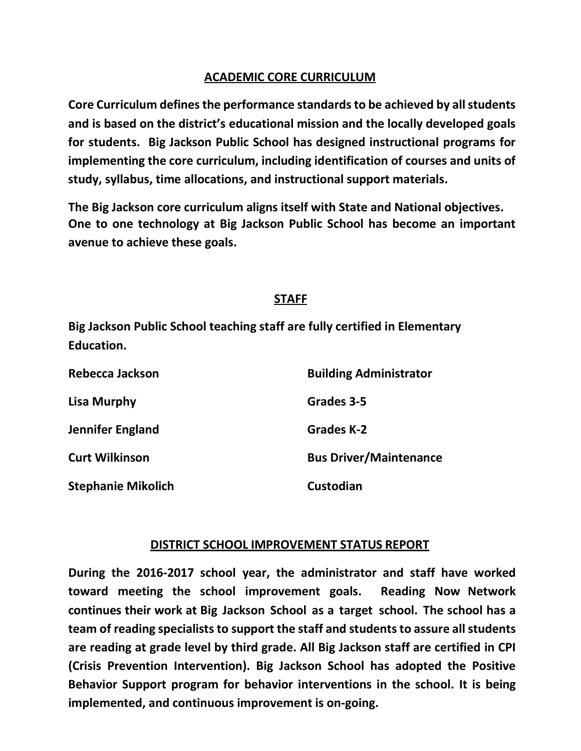### **ACADEMIC CORE CURRICULUM**

**Core Curriculum definesthe performance standardsto be achieved by all students and is based on the district's educational mission and the locally developed goals for students. Big Jackson Public School has designed instructional programs for implementing the core curriculum, including identification of courses and units of study, syllabus, time allocations, and instructional support materials.**

**The Big Jackson core curriculum aligns itself with State and National objectives. One to one technology at Big Jackson Public School has become an important avenue to achieve these goals.**

## **STAFF**

**Big Jackson Public School teaching staff are fully certified in Elementary Education.**

| Rebecca Jackson           | <b>Building Administrator</b> |
|---------------------------|-------------------------------|
| <b>Lisa Murphy</b>        | Grades 3-5                    |
| <b>Jennifer England</b>   | <b>Grades K-2</b>             |
| <b>Curt Wilkinson</b>     | <b>Bus Driver/Maintenance</b> |
| <b>Stephanie Mikolich</b> | Custodian                     |

### **DISTRICT SCHOOL IMPROVEMENT STATUS REPORT**

**During the 2016-2017 school year, the administrator and staff have worked toward meeting the school improvement goals. Reading Now Network continues their work at Big Jackson School as a target school. The school has a team of reading specialists to support the staff and studentsto assure all students are reading at grade level by third grade. All Big Jackson staff are certified in CPI (Crisis Prevention Intervention). Big Jackson School has adopted the Positive Behavior Support program for behavior interventions in the school. It is being implemented, and continuous improvement is on-going.**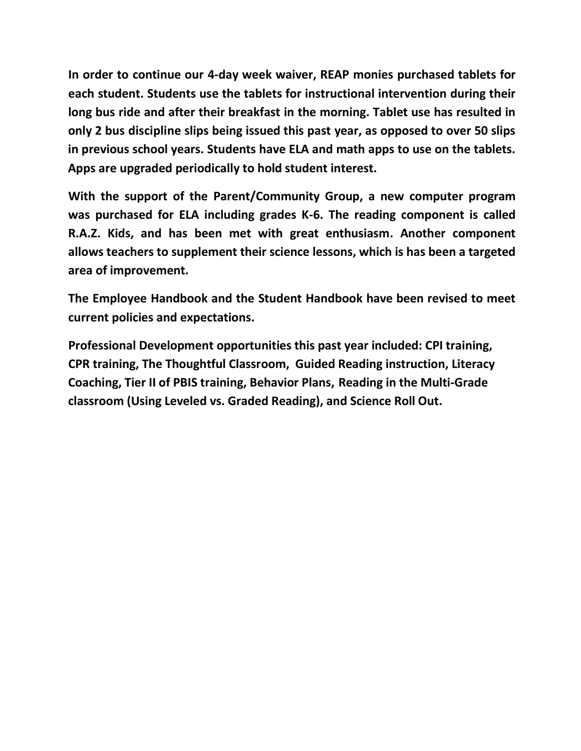**In order to continue our 4-day week waiver, REAP monies purchased tablets for each student. Students use the tablets for instructional intervention during their long bus ride and after their breakfast in the morning. Tablet use has resulted in only 2 bus discipline slips being issued this past year, as opposed to over 50 slips in previous school years. Students have ELA and math apps to use on the tablets. Apps are upgraded periodically to hold student interest.**

**With the support of the Parent/Community Group, a new computer program was purchased for ELA including grades K-6. The reading component is called R.A.Z. Kids, and has been met with great enthusiasm. Another component allows teachers to supplement their science lessons, which is has been a targeted area of improvement.**

**The Employee Handbook and the Student Handbook have been revised to meet current policies and expectations.**

**Professional Development opportunities this past year included: CPI training, CPR training, The Thoughtful Classroom, Guided Reading instruction, Literacy Coaching, Tier II of PBIS training, Behavior Plans, Reading in the Multi-Grade classroom (Using Leveled vs. Graded Reading), and Science Roll Out.**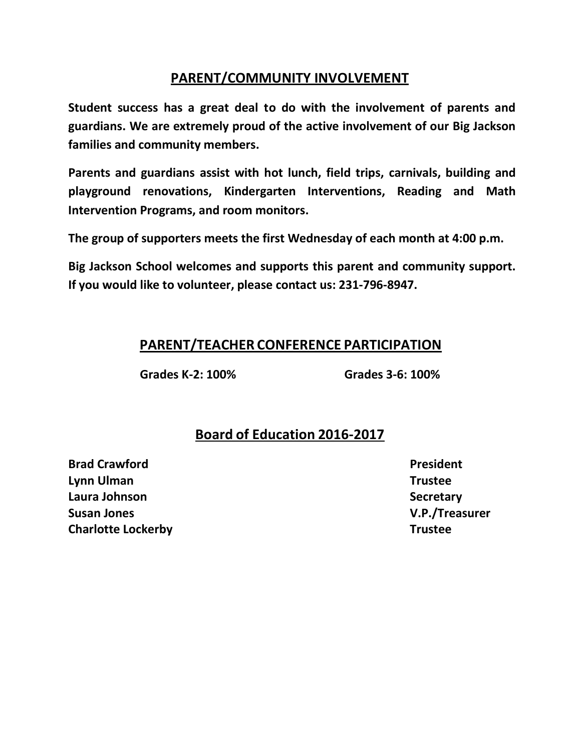## **PARENT/COMMUNITY INVOLVEMENT**

**Student success has a great deal to do with the involvement of parents and guardians. We are extremely proud of the active involvement of our Big Jackson families and community members.**

**Parents and guardians assist with hot lunch, field trips, carnivals, building and playground renovations, Kindergarten Interventions, Reading and Math Intervention Programs, and room monitors.**

**The group of supporters meets the first Wednesday of each month at 4:00 p.m.**

**Big Jackson School welcomes and supports this parent and community support. If you would like to volunteer, please contact us: 231-796-8947.**

## **PARENT/TEACHER CONFERENCE PARTICIPATION**

**Grades K-2: 100% Grades 3-6: 100%**

## **Board of Education 2016-2017**

**Brad Crawford Lynn Ulman Trustee Laura Johnson Secretary Susan Jones V.P./Treasurer Charlotte Lockerby Trustee** 

**President**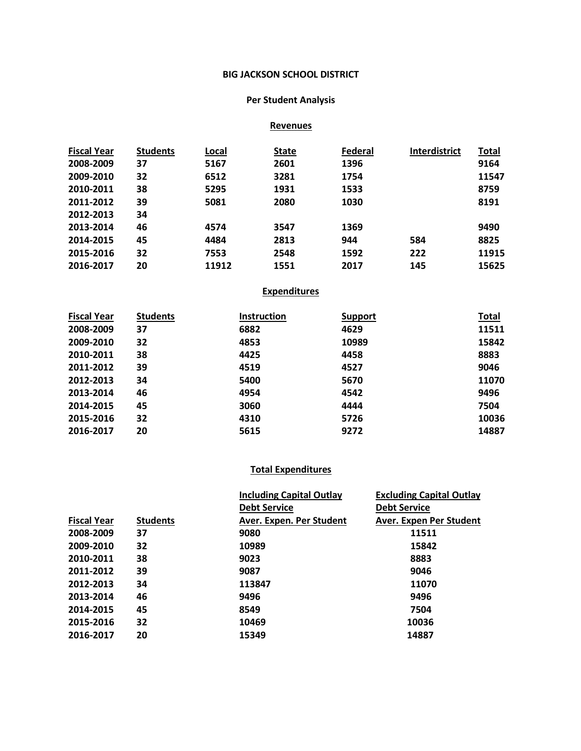### **BIG JACKSON SCHOOL DISTRICT**

### **Per Student Analysis**

### **Revenues**

| <b>Fiscal Year</b> | <b>Students</b> | Local | <b>State</b> | Federal | <b>Interdistrict</b> | <b>Total</b> |
|--------------------|-----------------|-------|--------------|---------|----------------------|--------------|
| 2008-2009          | 37              | 5167  | 2601         | 1396    |                      | 9164         |
| 2009-2010          | 32              | 6512  | 3281         | 1754    |                      | 11547        |
| 2010-2011          | 38              | 5295  | 1931         | 1533    |                      | 8759         |
| 2011-2012          | 39              | 5081  | 2080         | 1030    |                      | 8191         |
| 2012-2013          | 34              |       |              |         |                      |              |
| 2013-2014          | 46              | 4574  | 3547         | 1369    |                      | 9490         |
| 2014-2015          | 45              | 4484  | 2813         | 944     | 584                  | 8825         |
| 2015-2016          | 32              | 7553  | 2548         | 1592    | 222                  | 11915        |
| 2016-2017          | 20              | 11912 | 1551         | 2017    | 145                  | 15625        |

### **Expenditures**

| <b>Fiscal Year</b> | <b>Students</b> | <b>Instruction</b> | <b>Support</b> | <b>Total</b> |
|--------------------|-----------------|--------------------|----------------|--------------|
| 2008-2009          | 37              | 6882               | 4629           | 11511        |
| 2009-2010          | 32              | 4853               | 10989          | 15842        |
| 2010-2011          | 38              | 4425               | 4458           | 8883         |
| 2011-2012          | 39              | 4519               | 4527           | 9046         |
| 2012-2013          | 34              | 5400               | 5670           | 11070        |
| 2013-2014          | 46              | 4954               | 4542           | 9496         |
| 2014-2015          | 45              | 3060               | 4444           | 7504         |
| 2015-2016          | 32              | 4310               | 5726           | 10036        |
| 2016-2017          | 20              | 5615               | 9272           | 14887        |

### **Total Expenditures**

|                    |                 | <b>Including Capital Outlay</b> | <b>Excluding Capital Outlay</b> |
|--------------------|-----------------|---------------------------------|---------------------------------|
|                    |                 | <b>Debt Service</b>             | <b>Debt Service</b>             |
| <b>Fiscal Year</b> | <b>Students</b> | Aver. Expen. Per Student        | Aver. Expen Per Student         |
| 2008-2009          | 37              | 9080                            | 11511                           |
| 2009-2010          | 32              | 10989                           | 15842                           |
| 2010-2011          | 38              | 9023                            | 8883                            |
| 2011-2012          | 39              | 9087                            | 9046                            |
| 2012-2013          | 34              | 113847                          | 11070                           |
| 2013-2014          | 46              | 9496                            | 9496                            |
| 2014-2015          | 45              | 8549                            | 7504                            |
| 2015-2016          | 32              | 10469                           | 10036                           |
| 2016-2017          | 20              | 15349                           | 14887                           |
|                    |                 |                                 |                                 |